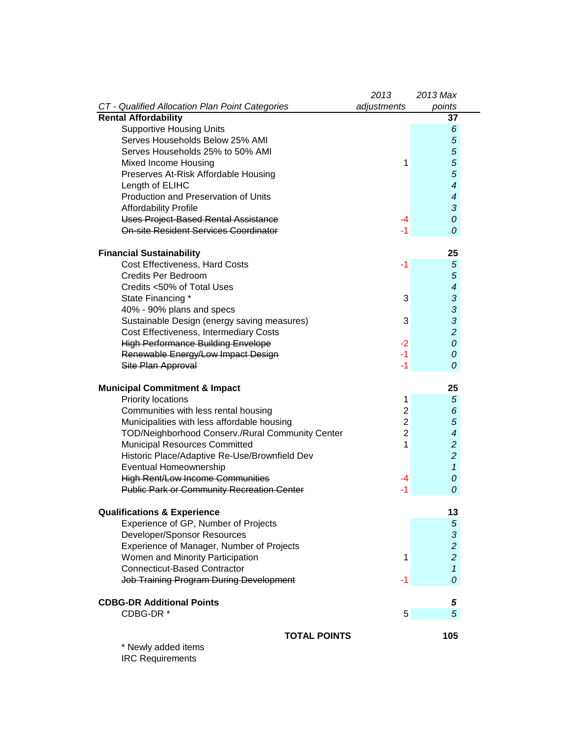|                                                   | 2013           | 2013 Max                 |
|---------------------------------------------------|----------------|--------------------------|
| CT - Qualified Allocation Plan Point Categories   | adjustments    | points                   |
| <b>Rental Affordability</b>                       |                | 37                       |
| <b>Supportive Housing Units</b>                   |                | 6                        |
| Serves Households Below 25% AMI                   |                | 5                        |
| Serves Households 25% to 50% AMI                  |                | $\overline{5}$           |
| Mixed Income Housing                              | 1              | $\overline{5}$           |
| Preserves At-Risk Affordable Housing              |                | 5                        |
| Length of ELIHC                                   |                | $\overline{\mathcal{A}}$ |
| Production and Preservation of Units              |                | $\overline{\mathcal{A}}$ |
| <b>Affordability Profile</b>                      |                | 3                        |
| <b>Uses Project-Based Rental Assistance</b>       | -4             | 0                        |
| <b>On-site Resident Services Coordinator</b>      | -1             | 0                        |
| <b>Financial Sustainability</b>                   |                | 25                       |
| Cost Effectiveness, Hard Costs                    | $-1$           | $\overline{5}$           |
| <b>Credits Per Bedroom</b>                        |                | 5                        |
| Credits <50% of Total Uses                        |                | $\overline{\mathcal{A}}$ |
| State Financing *                                 | 3              | 3                        |
| 40% - 90% plans and specs                         |                | 3                        |
| Sustainable Design (energy saving measures)       | 3              | 3                        |
| Cost Effectiveness, Intermediary Costs            |                | $\overline{c}$           |
| <b>High Performance Building Envelope</b>         | $-2$           | 0                        |
| Renewable Energy/Low Impact Design                | $-1$           | 0                        |
| Site Plan Approval                                | $-1$           | 0                        |
|                                                   |                |                          |
| <b>Municipal Commitment &amp; Impact</b>          |                | 25                       |
| <b>Priority locations</b>                         | 1              | 5                        |
| Communities with less rental housing              | $\overline{2}$ | 6                        |
| Municipalities with less affordable housing       | $\overline{2}$ | 5                        |
| TOD/Neighborhood Conserv./Rural Community Center  | $\overline{2}$ | $\overline{\mathcal{A}}$ |
| Municipal Resources Committed                     | 1              | $\overline{c}$           |
| Historic Place/Adaptive Re-Use/Brownfield Dev     |                | $\overline{c}$           |
| Eventual Homeownership                            |                | $\mathbf{1}$             |
| <b>High Rent/Low Income Communities</b>           | -4             | 0                        |
| <b>Public Park or Community Recreation Center</b> | $-1$           | 0                        |
| <b>Qualifications &amp; Experience</b>            |                | 13                       |
| Experience of GP, Number of Projects              |                | $\sqrt{5}$               |
| <b>Developer/Sponsor Resources</b>                |                | $\sqrt{3}$               |
| Experience of Manager, Number of Projects         |                | $\overline{c}$           |
| Women and Minority Participation                  | 1              | $\overline{a}$           |
| <b>Connecticut-Based Contractor</b>               |                | $\mathbf{1}$             |
| Job Training Program During Development           | -1             | 0                        |
| <b>CDBG-DR Additional Points</b>                  |                | 5                        |
| CDBG-DR*                                          | 5              | 5                        |
|                                                   |                |                          |
| <b>TOTAL POINTS</b><br>* Newly added items        |                | 105                      |

IRC Requirements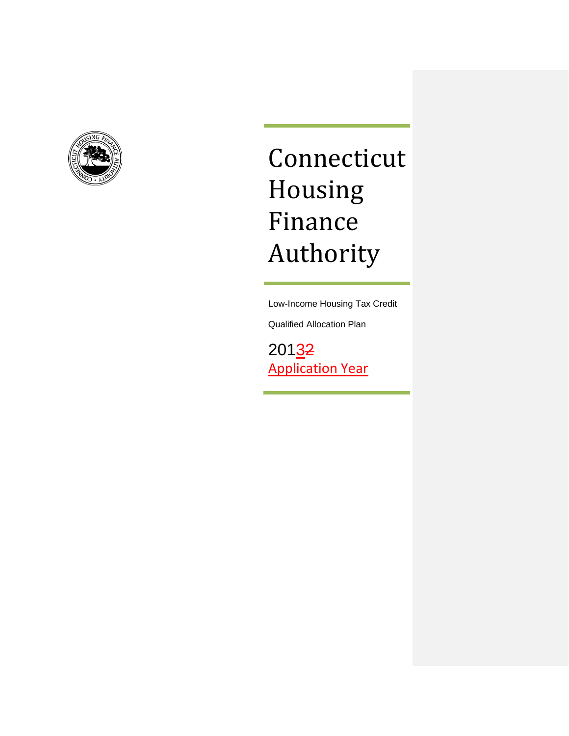<span id="page-1-0"></span>

# Connecticut Housing Finance Authority

Low-Income Housing Tax Credit

Qualified Allocation Plan

20132 Application Year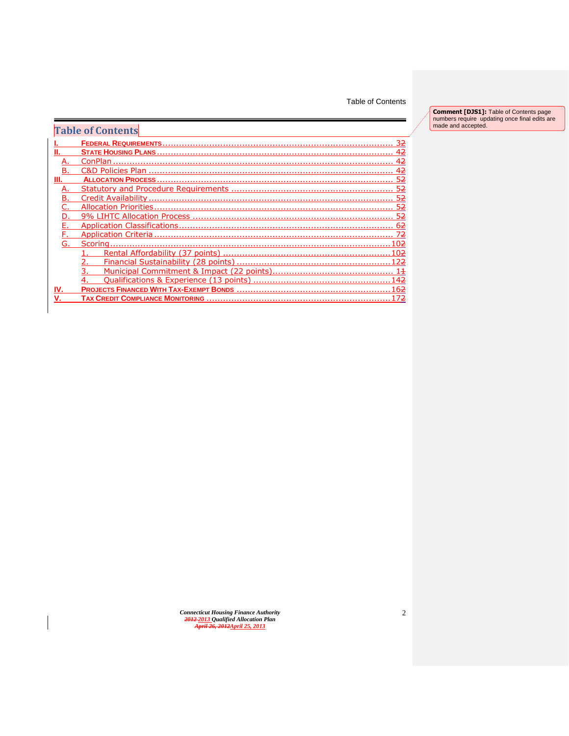#### Table of Contents

**Comment [DJS1]:** Table of Contents page numbers require updating once final edits are made and accepted.

|     | <b>Table of Contents</b>                        |
|-----|-------------------------------------------------|
|     | <b>FEDERAL REQUIREMENTS</b>                     |
|     | <b>STATE HOUSING PLANS</b>                      |
|     | ConPlan                                         |
|     |                                                 |
|     |                                                 |
|     |                                                 |
|     | Credit Availability                             |
|     | <b>Allocation Priorities</b>                    |
|     |                                                 |
|     |                                                 |
|     | Application Criteria                            |
| G.  | 02<br>Scoring.                                  |
|     | Rental Affordability (37 points)<br>02          |
|     |                                                 |
|     | Municipal Commitment & Impact (22 points)<br>14 |
|     | .4 <sub>2</sub>                                 |
| IV. | .6 <del>2</del>                                 |
|     | 72<br><b>TAX CREDIT COMPLIANCE MONITORING</b>   |

*Connecticut Housing Finance Authority 2012 2013 Qualified Allocation Plan April 26, 2012April 25, 2013*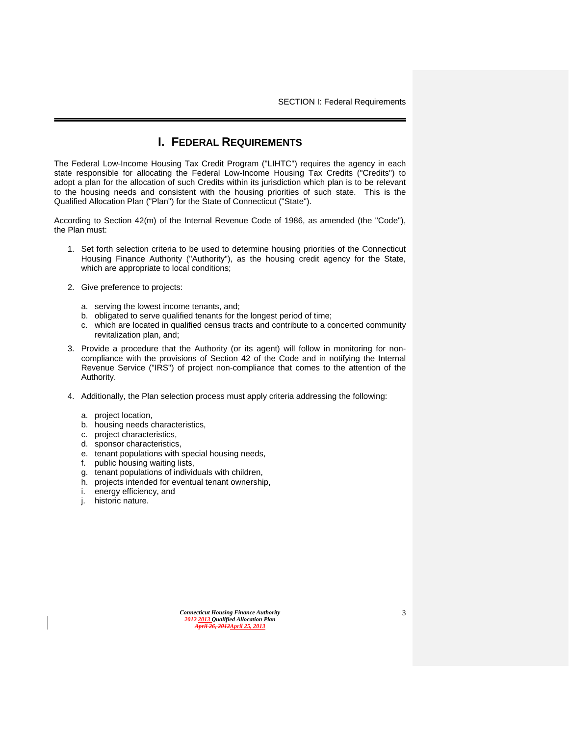SECTION I: Federal Requirements

## **I. FEDERAL REQUIREMENTS**

<span id="page-3-0"></span>The Federal Low-Income Housing Tax Credit Program ("LIHTC") requires the agency in each state responsible for allocating the Federal Low-Income Housing Tax Credits ("Credits") to adopt a plan for the allocation of such Credits within its jurisdiction which plan is to be relevant to the housing needs and consistent with the housing priorities of such state. This is the Qualified Allocation Plan ("Plan") for the State of Connecticut ("State").

According to Section 42(m) of the Internal Revenue Code of 1986, as amended (the "Code"), the Plan must:

- 1. Set forth selection criteria to be used to determine housing priorities of the Connecticut Housing Finance Authority ("Authority"), as the housing credit agency for the State, which are appropriate to local conditions;
- 2. Give preference to projects:
	- a. serving the lowest income tenants, and;
	- b. obligated to serve qualified tenants for the longest period of time;
	- c. which are located in qualified census tracts and contribute to a concerted community revitalization plan, and;
- 3. Provide a procedure that the Authority (or its agent) will follow in monitoring for noncompliance with the provisions of Section 42 of the Code and in notifying the Internal Revenue Service ("IRS") of project non-compliance that comes to the attention of the Authority.
- 4. Additionally, the Plan selection process must apply criteria addressing the following:
	- a. project location,
	- b. housing needs characteristics,
	- c. project characteristics,
	- d. sponsor characteristics,
	- e. tenant populations with special housing needs,
	- f. public housing waiting lists,
	- g. tenant populations of individuals with children,
	- h. projects intended for eventual tenant ownership,
	- i. energy efficiency, and
	- j. historic nature.

| <b>Connecticut Housing Finance Authority</b> |
|----------------------------------------------|
| 2012-2013 Oualified Allocation Plan          |
| April 26, 2012April 25, 2013                 |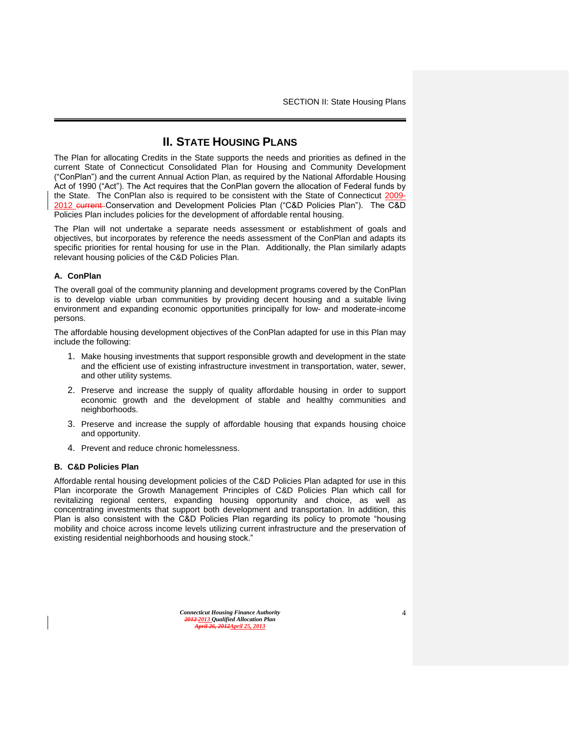SECTION II: State Housing Plans

# **II. STATE HOUSING PLANS**

<span id="page-4-0"></span>The Plan for allocating Credits in the State supports the needs and priorities as defined in the current State of Connecticut Consolidated Plan for Housing and Community Development ("ConPlan") and the current Annual Action Plan, as required by the National Affordable Housing Act of 1990 ("Act"). The Act requires that the ConPlan govern the allocation of Federal funds by the State. The ConPlan also is required to be consistent with the State of Connecticut 2009- 2012 current-Conservation and Development Policies Plan ("C&D Policies Plan"). The C&D Policies Plan includes policies for the development of affordable rental housing.

The Plan will not undertake a separate needs assessment or establishment of goals and objectives, but incorporates by reference the needs assessment of the ConPlan and adapts its specific priorities for rental housing for use in the Plan. Additionally, the Plan similarly adapts relevant housing policies of the C&D Policies Plan.

#### <span id="page-4-1"></span>**A. ConPlan**

The overall goal of the community planning and development programs covered by the ConPlan is to develop viable urban communities by providing decent housing and a suitable living environment and expanding economic opportunities principally for low- and moderate-income persons.

The affordable housing development objectives of the ConPlan adapted for use in this Plan may include the following:

- 1. Make housing investments that support responsible growth and development in the state and the efficient use of existing infrastructure investment in transportation, water, sewer, and other utility systems.
- 2. Preserve and increase the supply of quality affordable housing in order to support economic growth and the development of stable and healthy communities and neighborhoods.
- 3. Preserve and increase the supply of affordable housing that expands housing choice and opportunity.
- 4. Prevent and reduce chronic homelessness.

#### <span id="page-4-2"></span>**B. C&D Policies Plan**

Affordable rental housing development policies of the C&D Policies Plan adapted for use in this Plan incorporate the Growth Management Principles of C&D Policies Plan which call for revitalizing regional centers, expanding housing opportunity and choice, as well as concentrating investments that support both development and transportation. In addition, this Plan is also consistent with the C&D Policies Plan regarding its policy to promote "housing mobility and choice across income levels utilizing current infrastructure and the preservation of existing residential neighborhoods and housing stock."

*Connecticut Housing Finance Authority 2012 2013 Qualified Allocation Plan April 26, 2012April 25, 2013*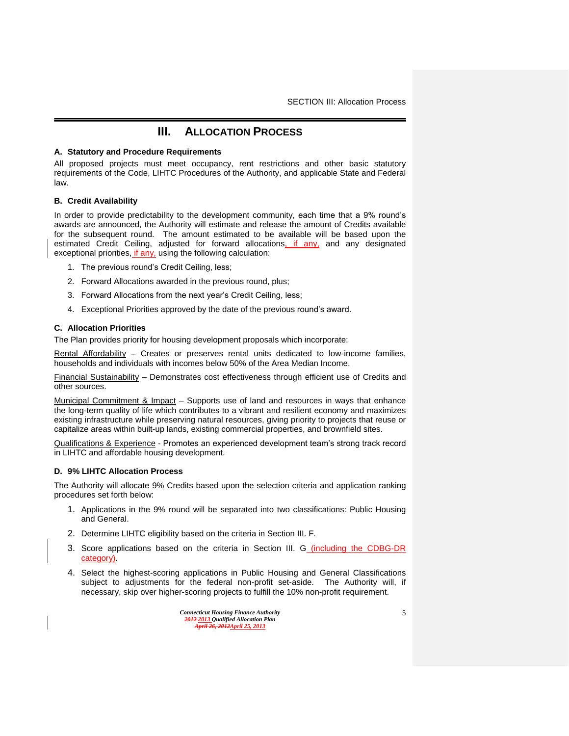# **III. ALLOCATION PROCESS**

#### <span id="page-5-1"></span><span id="page-5-0"></span>**A. Statutory and Procedure Requirements**

All proposed projects must meet occupancy, rent restrictions and other basic statutory requirements of the Code, LIHTC Procedures of the Authority, and applicable State and Federal law.

#### <span id="page-5-2"></span>**B. Credit Availability**

In order to provide predictability to the development community, each time that a 9% round's awards are announced, the Authority will estimate and release the amount of Credits available for the subsequent round. The amount estimated to be available will be based upon the estimated Credit Ceiling, adjusted for forward allocations, if any, and any designated exceptional priorities, *if any*, using the following calculation:

- 1. The previous round's Credit Ceiling, less;
- 2. Forward Allocations awarded in the previous round, plus;
- 3. Forward Allocations from the next year's Credit Ceiling, less;
- 4. Exceptional Priorities approved by the date of the previous round's award.

#### <span id="page-5-3"></span>**C. Allocation Priorities**

The Plan provides priority for housing development proposals which incorporate:

Rental Affordability – Creates or preserves rental units dedicated to low-income families, households and individuals with incomes below 50% of the Area Median Income.

Financial Sustainability – Demonstrates cost effectiveness through efficient use of Credits and other sources.

Municipal Commitment & Impact - Supports use of land and resources in ways that enhance the long-term quality of life which contributes to a vibrant and resilient economy and maximizes existing infrastructure while preserving natural resources, giving priority to projects that reuse or capitalize areas within built-up lands, existing commercial properties, and brownfield sites.

Qualifications & Experience - Promotes an experienced development team's strong track record in LIHTC and affordable housing development.

#### <span id="page-5-4"></span>**D. 9% LIHTC Allocation Process**

The Authority will allocate 9% Credits based upon the selection criteria and application ranking procedures set forth below:

- 1. Applications in the 9% round will be separated into two classifications: Public Housing and General.
- 2. Determine LIHTC eligibility based on the criteria in Section III. F.
- 3. Score applications based on the criteria in Section III. G (including the CDBG-DR category).
- 4. Select the highest-scoring applications in Public Housing and General Classifications subject to adjustments for the federal non-profit set-aside. The Authority will, if necessary, skip over higher-scoring projects to fulfill the 10% non-profit requirement.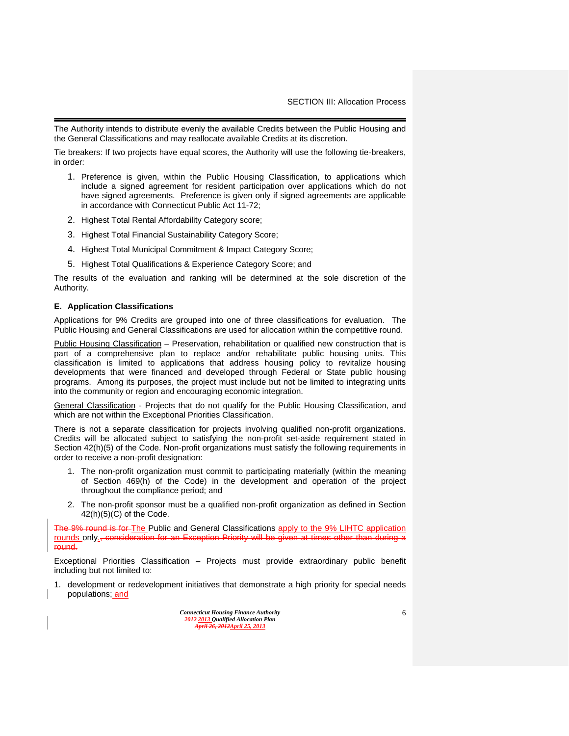The Authority intends to distribute evenly the available Credits between the Public Housing and the General Classifications and may reallocate available Credits at its discretion.

Tie breakers: If two projects have equal scores, the Authority will use the following tie-breakers, in order:

- 1. Preference is given, within the Public Housing Classification, to applications which include a signed agreement for resident participation over applications which do not have signed agreements. Preference is given only if signed agreements are applicable in accordance with Connecticut Public Act 11-72;
- 2. Highest Total Rental Affordability Category score;
- 3. Highest Total Financial Sustainability Category Score;
- 4. Highest Total Municipal Commitment & Impact Category Score;
- 5. Highest Total Qualifications & Experience Category Score; and

The results of the evaluation and ranking will be determined at the sole discretion of the Authority.

#### <span id="page-6-0"></span>**E. Application Classifications**

Applications for 9% Credits are grouped into one of three classifications for evaluation. The Public Housing and General Classifications are used for allocation within the competitive round.

Public Housing Classification – Preservation, rehabilitation or qualified new construction that is part of a comprehensive plan to replace and/or rehabilitate public housing units. This classification is limited to applications that address housing policy to revitalize housing developments that were financed and developed through Federal or State public housing programs. Among its purposes, the project must include but not be limited to integrating units into the community or region and encouraging economic integration.

General Classification - Projects that do not qualify for the Public Housing Classification, and which are not within the Exceptional Priorities Classification.

There is not a separate classification for projects involving qualified non-profit organizations. Credits will be allocated subject to satisfying the non-profit set-aside requirement stated in Section  $42(h)(5)$  of the Code. Non-profit organizations must satisfy the following requirements in order to receive a non-profit designation:

- 1. The non-profit organization must commit to participating materially (within the meaning of Section 469(h) of the Code) in the development and operation of the project throughout the compliance period; and
- 2. The non-profit sponsor must be a qualified non-profit organization as defined in Section  $42(h)(5)(C)$  of the Code.

The 9% round is for-The Public and General Classifications apply to the 9% LIHTC application rounds only<sub>s</sub>, consideration for an Exception Priority will be given at times other than during a round.

Exceptional Priorities Classification – Projects must provide extraordinary public benefit including but not limited to:

1. development or redevelopment initiatives that demonstrate a high priority for special needs populations; and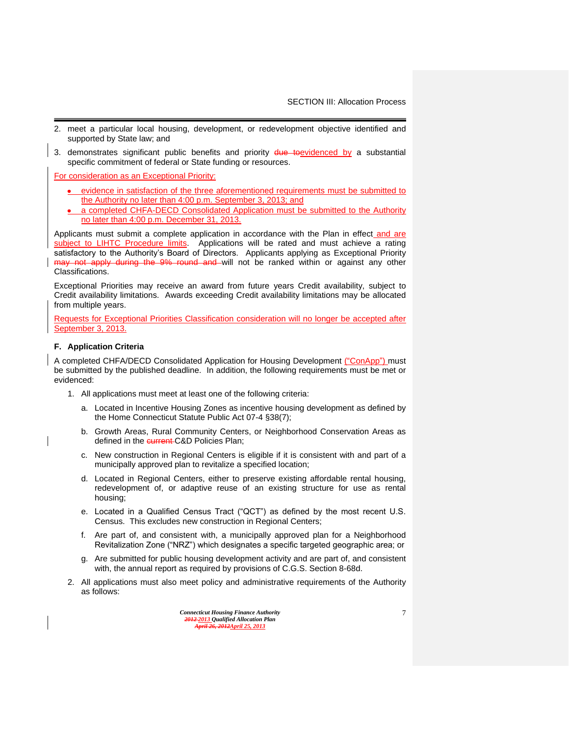- 2. meet a particular local housing, development, or redevelopment objective identified and supported by State law; and
- 3. demonstrates significant public benefits and priority **due toevidenced by a substantial** specific commitment of federal or State funding or resources.

For consideration as an Exceptional Priority:

- evidence in satisfaction of the three aforementioned requirements must be submitted to the Authority no later than 4:00 p.m. September 3, 2013; and
- a completed CHFA-DECD Consolidated Application must be submitted to the Authority no later than 4:00 p.m. December 31, 2013.

Applicants must submit a complete application in accordance with the Plan in effect\_and\_are subject to LIHTC Procedure limits. Applications will be rated and must achieve a rating satisfactory to the Authority's Board of Directors. Applicants applying as Exceptional Priority may not apply during the 9% round and will not be ranked within or against any other Classifications.

Exceptional Priorities may receive an award from future years Credit availability, subject to Credit availability limitations. Awards exceeding Credit availability limitations may be allocated from multiple years.

Requests for Exceptional Priorities Classification consideration will no longer be accepted after September 3, 2013.

#### <span id="page-7-0"></span>**F. Application Criteria**

A completed CHFA/DECD Consolidated Application for Housing Development ("ConApp") must be submitted by the published deadline. In addition, the following requirements must be met or evidenced:

- 1. All applications must meet at least one of the following criteria:
	- a. Located in Incentive Housing Zones as incentive housing development as defined by the Home Connecticut Statute Public Act 07-4 §38(7);
	- b. Growth Areas, Rural Community Centers, or Neighborhood Conservation Areas as defined in the current C&D Policies Plan:
	- c. New construction in Regional Centers is eligible if it is consistent with and part of a municipally approved plan to revitalize a specified location;
	- d. Located in Regional Centers, either to preserve existing affordable rental housing, redevelopment of, or adaptive reuse of an existing structure for use as rental housing;
	- e. Located in a Qualified Census Tract ("QCT") as defined by the most recent U.S. Census. This excludes new construction in Regional Centers;
	- f. Are part of, and consistent with, a municipally approved plan for a Neighborhood Revitalization Zone ("NRZ") which designates a specific targeted geographic area; or
	- g. Are submitted for public housing development activity and are part of, and consistent with, the annual report as required by provisions of C.G.S. Section 8-68d.
- 2. All applications must also meet policy and administrative requirements of the Authority as follows: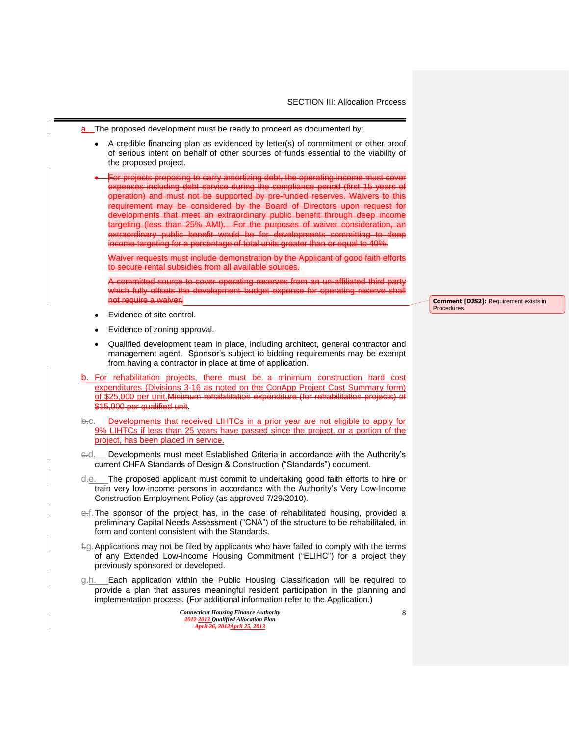- a. The proposed development must be ready to proceed as documented by:
	- A credible financing plan as evidenced by letter(s) of commitment or other proof  $\bullet$ of serious intent on behalf of other sources of funds essential to the viability of the proposed project.
	- For projects proposing to carry amortizing debt, the operating income must cov expenses including debt service during the compliance period (first 15 years of operation) and must not be supported by pre-funded reserves. Waivers to this requirement may be considered by the Board of Directors upon request for developments that meet an extraordinary public benefit through deep income argeting (less than 25% AMI). For the purposes of waiver consideration, extraordinary public benefit would be for developments committing to deep  $i$  recome targeting for a percentage of total units greater than or equal to 40%.

Waiver requests must include demonstration by the Applicant of good faith efforts o secure rental subsidies from all available sources.

itted source to cover operating reserves from an un-affiliated third party which fully offsets the development budget expense for operating not require a waiver.

- Evidence of site control.
- Evidence of zoning approval.
- Qualified development team in place, including architect, general contractor and management agent. Sponsor's subject to bidding requirements may be exempt from having a contractor in place at time of application.
- b. For rehabilitation projects, there must be a minimum construction hard cost expenditures (Divisions 3-16 as noted on the ConApp Project Cost Summary form) of \$25,000 per unit.Minimum rehabilitation expenditure (for rehabilitation projects) of \$15,000 per qualified unit.
- b.c. Developments that received LIHTCs in a prior year are not eligible to apply for 9% LIHTCs if less than 25 years have passed since the project, or a portion of the project, has been placed in service.
- e.d. Developments must meet Established Criteria in accordance with the Authority's current CHFA Standards of Design & Construction ("Standards") document.
- d.e. The proposed applicant must commit to undertaking good faith efforts to hire or train very low-income persons in accordance with the Authority's Very Low-Income Construction Employment Policy (as approved 7/29/2010).
- e.f.The sponsor of the project has, in the case of rehabilitated housing, provided a preliminary Capital Needs Assessment ("CNA") of the structure to be rehabilitated, in form and content consistent with the Standards.
- f.g.Applications may not be filed by applicants who have failed to comply with the terms of any Extended Low-Income Housing Commitment ("ELIHC") for a project they previously sponsored or developed.
- g.h. Each application within the Public Housing Classification will be required to provide a plan that assures meaningful resident participation in the planning and implementation process. (For additional information refer to the Application.)

*Connecticut Housing Finance Authority 2012 2013 Qualified Allocation Plan April 26, 2012April 25, 2013*

**Comment [DJS2]:** Requirement exists in Procedures.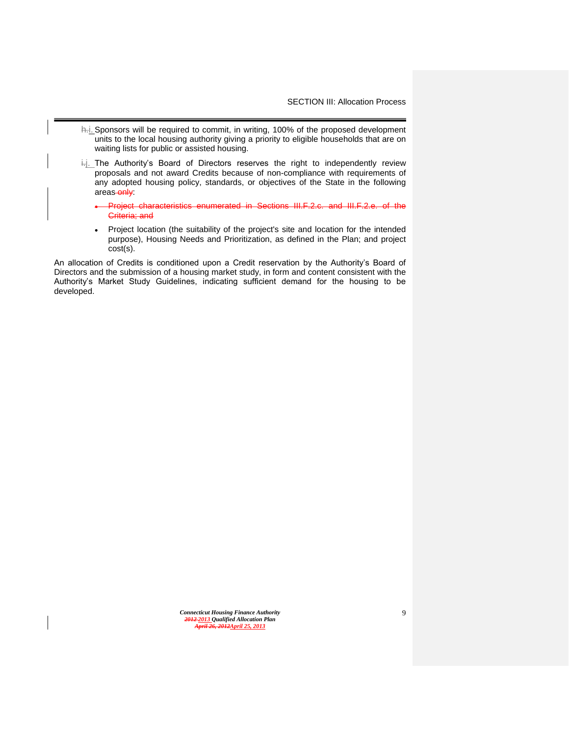- h.i. Sponsors will be required to commit, in writing, 100% of the proposed development units to the local housing authority giving a priority to eligible households that are on waiting lists for public or assisted housing.
- $\frac{1}{1}$ . The Authority's Board of Directors reserves the right to independently review proposals and not award Credits because of non-compliance with requirements of any adopted housing policy, standards, or objectives of the State in the following areas-only:
	- Project characteristics enumerated in Sections III.F.2.c. and III.F.2.e. of the Criteria; and
	- Project location (the suitability of the project's site and location for the intended  $\bullet$ purpose), Housing Needs and Prioritization, as defined in the Plan; and project cost(s).

An allocation of Credits is conditioned upon a Credit reservation by the Authority's Board of Directors and the submission of a housing market study, in form and content consistent with the Authority's Market Study Guidelines, indicating sufficient demand for the housing to be developed.

> *Connecticut Housing Finance Authority 2012 2013 Qualified Allocation Plan April 26, 2012April 25, 2013*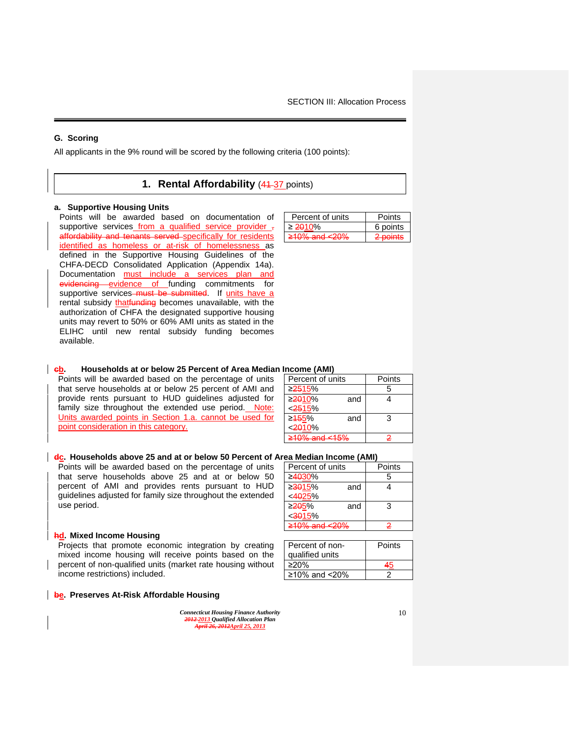## <span id="page-10-0"></span>**G. Scoring**

<span id="page-10-1"></span>All applicants in the 9% round will be scored by the following criteria (100 points):

## **1. Rental Affordability (44-37 points)**

#### **a. Supportive Housing Units**

Points will be awarded based on documentation of supportive services from a qualified service provider, affordability and tenants served specifically for residents identified as homeless or at-risk of homelessness as defined in the Supportive Housing Guidelines of the CHFA-DECD Consolidated Application (Appendix 14a). Documentation must include a services plan and evidencing evidence of funding commitments for supportive services-must be submitted. If units have a rental subsidy that funding becomes unavailable, with the authorization of CHFA the designated supportive housing units may revert to 50% or 60% AMI units as stated in the ELIHC until new rental subsidy funding becomes available.

| Percent of units            | <b>Points</b> |
|-----------------------------|---------------|
| $\geq$ 2010%                | 6 points      |
| $\geq 10\%$ and $\leq 20\%$ | 2 points      |

#### **cb. Households at or below 25 Percent of Area Median Income (AMI)**

Points will be awarded based on the percentage of units that serve households at or below 25 percent of AMI and provide rents pursuant to HUD guidelines adjusted for family size throughout the extended use period. Note: Units awarded points in Section 1.a. cannot be used for point consideration in this category.

| Percent of units           | Points         |
|----------------------------|----------------|
| ≥ <del>25</del> 15%        | 5              |
| ≥ <del>20</del> 10%<br>and | 4              |
| < 2515%                    |                |
| ≥ <del>15</del> 5%<br>and  | 3              |
| < 2010%                    |                |
| $>10\%$ and $< 15\%$       | $\overline{2}$ |
|                            |                |

#### **dc. Households above 25 and at or below 50 Percent of Area Median Income (AMI)**

Points will be awarded based on the percentage of units that serve households above 25 and at or below 50 percent of AMI and provides rents pursuant to HUD guidelines adjusted for family size throughout the extended use period.

#### **hd. Mixed Income Housing**

Projects that promote economic integration by creating mixed income housing will receive points based on the percent of non-qualified units (market rate housing without income restrictions) included.

#### **be. Preserves At-Risk Affordable Housing**

| <b>Connecticut Housing Finance Authority</b> |
|----------------------------------------------|
| 2012-2013 Oualified Allocation Plan          |
| April 26, 2012April 25, 2013                 |

| Percent of units            |     | Points |  |
|-----------------------------|-----|--------|--|
| ≥4 <del>0</del> 30%         |     | 5      |  |
| ≥ <del>30</del> 15%         | and |        |  |
| < <del>40</del> 25%         |     |        |  |
| ≥ <del>20</del> 5%          | and | 3      |  |
| $<$ 3015%                   |     |        |  |
| <del>≥10% and &lt;20%</del> |     | 2      |  |

| Percent of non-   | Points |
|-------------------|--------|
| qualified units   |        |
| $>20\%$           |        |
| ≥10% and $< 20\%$ |        |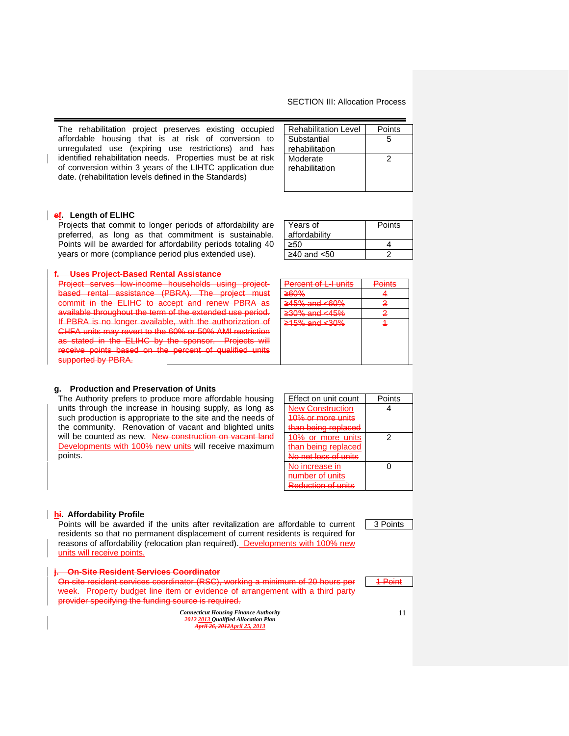The rehabilitation project preserves existing occupied affordable housing that is at risk of conversion to unregulated use (expiring use restrictions) and has identified rehabilitation needs. Properties must be at risk of conversion within 3 years of the LIHTC application due date. (rehabilitation levels defined in the Standards)

| <b>Rehabilitation Level</b> | Points |
|-----------------------------|--------|
| Substantial                 | 5      |
| rehabilitation              |        |
| Moderate                    | 2      |
| rehabilitation              |        |
|                             |        |
|                             |        |

## **ef. Length of ELIHC**

Projects that commit to longer periods of affordability are preferred, as long as that commitment is sustainable. Points will be awarded for affordability periods totaling 40 years or more (compliance period plus extended use).

#### **f. Uses Project-Based Rental Assistance**

Project serves low-income households using projectbased rental assistance (PBRA). The project must commit in the ELIHC to accept and renew PBRA as available throughout the term of the extended use period. If PBRA is no longer available, with the authorization of CHFA units may revert to the 60% or 50% AMI restriction as stated in the ELIHC by the sponsor. Projects will receive points based on the percent of qualified units supported by PBRA.

| $\geq$ 40 and $\leq$ 50 |        |
|-------------------------|--------|
|                         |        |
|                         |        |
| Percent of L-I units    | Points |
| ≥60%                    |        |
| $\geq$ 45% and <60%     | з      |
| ≥30% and <45%           | 2      |

 $\geq 50$  4

≥15% and <30% 1

**Points** 

Years of affordability

## **g. Production and Preservation of Units**

The Authority prefers to produce more affordable housing units through the increase in housing supply, as long as such production is appropriate to the site and the needs of the community. Renovation of vacant and blighted units will be counted as new. New construction on vacant land Developments with 100% new units will receive maximum points.

| Effect on unit count         | Points |
|------------------------------|--------|
| <b>New Construction</b>      |        |
| $10%$ or more unit           |        |
| <del>an being replaced</del> |        |
| 10% or more units            | 2      |
| than being replaced          |        |
| No nat loee of un            |        |
| No increase in               |        |
| number of units              |        |
| Raduction of ur              |        |
|                              |        |

#### **hi. Affordability Profile**

Points will be awarded if the units after revitalization are affordable to current residents so that no permanent displacement of current residents is required for reasons of affordability (relocation plan required). Developments with 100% new units will receive points.

| i Dn-Site Resident Services Coordinator<br><del>nooruom oorvrotto GUURIMARU</del>                                  |  |
|--------------------------------------------------------------------------------------------------------------------|--|
| On-site resident services coordinator (RSC), working a minimum of 20 hours per                                     |  |
| week. Property budget line item or evidence of arrangement with a third party                                      |  |
| provider specifying the funding source is required.<br><del>proviaci opochymy uro rununy ocured is required.</del> |  |
|                                                                                                                    |  |

*Connecticut Housing Finance Authority 2012 2013 Qualified Allocation Plan April 26, 2012April 25, 2013*

3 Points

1 Point

11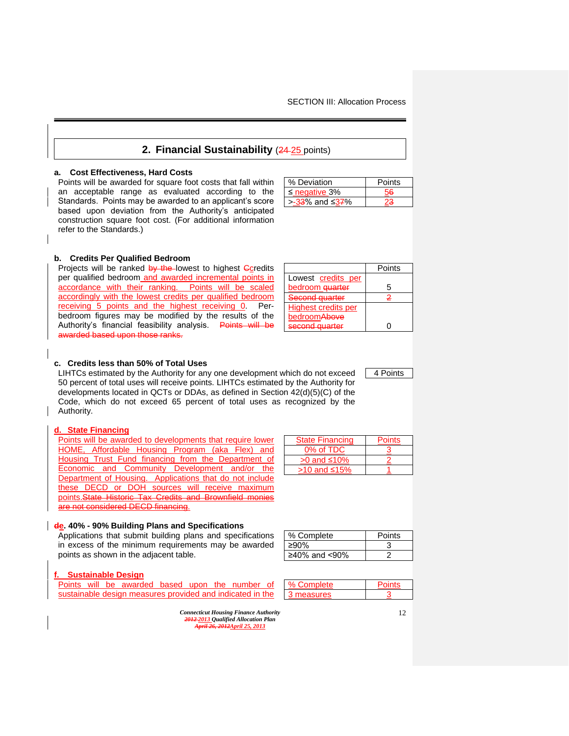## **2. Financial Sustainability (24-25 points)**

#### <span id="page-12-0"></span>**a. Cost Effectiveness, Hard Costs**

Points will be awarded for square foot costs that fall within an acceptable range as evaluated according to the Standards. Points may be awarded to an applicant's score based upon deviation from the Authority's anticipated construction square foot cost. (For additional information refer to the Standards.)

| % Deviation        | Points |
|--------------------|--------|
| $\leq$ negative 3% | 56     |
| > $-33%$ and ≤37%  |        |

#### **b. Credits Per Qualified Bedroom**

Projects will be ranked by the lowest to highest Ccredits per qualified bedroom and awarded incremental points in accordance with their ranking. Points will be scaled accordingly with the lowest credits per qualified bedroom receiving 5 points and the highest receiving 0. Perbedroom figures may be modified by the results of the Authority's financial feasibility analysis. Points will be and based upon those rank

|                            | Points |
|----------------------------|--------|
| Lowest credits per         |        |
| bedroom <del>quarter</del> | 5      |
| Second quarter             | 2      |
| Highest credits per        |        |
| bedroom <del>Above</del>   |        |
| cocond quartor             |        |

4 Points

#### **c. Credits less than 50% of Total Uses**

LIHTCs estimated by the Authority for any one development which do not exceed 50 percent of total uses will receive points. LIHTCs estimated by the Authority for developments located in QCTs or DDAs, as defined in Section 42(d)(5)(C) of the Code, which do not exceed 65 percent of total uses as recognized by the Authority.

#### **d. State Financing**

Points will be awarded to developments that require lower HOME, Affordable Housing Program (aka Flex) and Housing Trust Fund financing from the Department of Economic and Community Development and/or the Department of Housing. Applications that do not include these DECD or DOH sources will receive maximum points.State Historic Tax Credits and Brownfield monies are not considered DECD financing.

#### **de. 40% - 90% Building Plans and Specifications**

Applications that submit building plans and specifications in excess of the minimum requirements may be awarded points as shown in the adjacent table.

#### **f. Sustainable Design**

Points will be awarded based upon the number of sustainable design measures provided and indicated in the

> *Connecticut Housing Finance Authority 2012 2013 Qualified Allocation Plan April 26, 2012April 25, 2013*

| <b>State Financing</b> | <b>Points</b> |
|------------------------|---------------|
| 0% of TDC              |               |
| $>0$ and $\leq 10\%$   |               |
| >10 and ≤15%           |               |

| % Complete    | Points |
|---------------|--------|
| ≥90%          |        |
| ≥40% and <90% |        |
|               |        |

| % Complete | Points |
|------------|--------|
| 3 measures |        |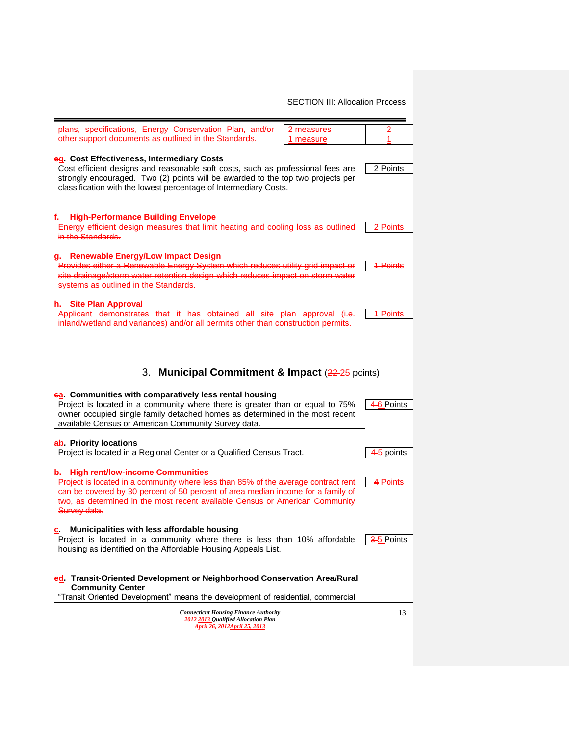| plans, specifications, Energy Conservation Plan, and/or<br>2 measures                                                                                                                                                                                                                                         | 2                     |
|---------------------------------------------------------------------------------------------------------------------------------------------------------------------------------------------------------------------------------------------------------------------------------------------------------------|-----------------------|
| other support documents as outlined in the Standards.<br>1 measure                                                                                                                                                                                                                                            | 1                     |
| eg. Cost Effectiveness, Intermediary Costs<br>Cost efficient designs and reasonable soft costs, such as professional fees are<br>strongly encouraged. Two (2) points will be awarded to the top two projects per<br>classification with the lowest percentage of Intermediary Costs.                          | 2 Points              |
| f. High-Performance Building Envelope<br>Energy efficient design measures that limit heating and cooling loss as outlined<br>in the Standards.                                                                                                                                                                | 2 Points              |
| g. Renewable Energy/Low Impact Design<br>Provides either a Renewable Energy System which reduces utility grid impact or<br>site drainage/storm water retention design which reduces impact on storm water<br>systems as outlined in the Standards.                                                            | <u> 1 Points</u>      |
| h. Site Plan Approval<br>Applicant demonstrates that it has obtained all site plan approval (i.e.<br>inland/wetland and variances) and/or all permits other than construction permits.                                                                                                                        | 1-Points              |
| <b>Municipal Commitment &amp; Impact (22-25 points)</b><br>3.                                                                                                                                                                                                                                                 |                       |
| ea. Communities with comparatively less rental housing<br>Project is located in a community where there is greater than or equal to 75%<br>owner occupied single family detached homes as determined in the most recent<br>available Census or American Community Survey data.                                | 4-6 Points            |
| ab. Priority locations<br>Project is located in a Regional Center or a Qualified Census Tract.                                                                                                                                                                                                                | <del>4-5</del> points |
| b. High rent/low-income Communities<br>Project is located in a community where less than 85% of the average contract rent<br>can be covered by 30 percent of 50 percent of area median income for a family of<br>two, as determined in the most recent available Census or American Community<br>Survey data. | <del>4 Points</del>   |
| Municipalities with less affordable housing<br>c.<br>Project is located in a community where there is less than 10% affordable<br>housing as identified on the Affordable Housing Appeals List.                                                                                                               | 3-5 Points            |
| ed. Transit-Oriented Development or Neighborhood Conservation Area/Rural<br><b>Community Center</b><br>"Transit Oriented Development" means the development of residential, commercial                                                                                                                        |                       |
| <b>Connecticut Housing Finance Authority</b><br><del>2012-</del> 2013 Qualified Allocation Plan<br>April 26, 2012April 25, 2013                                                                                                                                                                               | 13                    |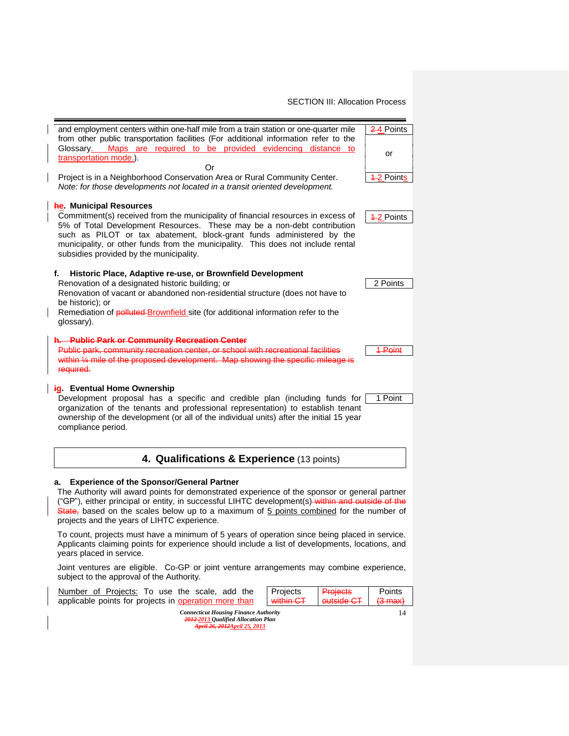<span id="page-14-0"></span>

|                                                                                                                                                                                                                                                                                                                                                                                                                      | and employment centers within one-half mile from a train station or one-quarter mile<br>from other public transportation facilities (For additional information refer to the<br>Glossary. Maps are required to be provided evidencing distance to                                                                                                                                                     | 2–4 Points                   |  |  |  |  |  |
|----------------------------------------------------------------------------------------------------------------------------------------------------------------------------------------------------------------------------------------------------------------------------------------------------------------------------------------------------------------------------------------------------------------------|-------------------------------------------------------------------------------------------------------------------------------------------------------------------------------------------------------------------------------------------------------------------------------------------------------------------------------------------------------------------------------------------------------|------------------------------|--|--|--|--|--|
|                                                                                                                                                                                                                                                                                                                                                                                                                      | transportation mode.).                                                                                                                                                                                                                                                                                                                                                                                |                              |  |  |  |  |  |
| Or<br>Project is in a Neighborhood Conservation Area or Rural Community Center.<br>4–2 Points<br>Note: for those developments not located in a transit oriented development.                                                                                                                                                                                                                                         |                                                                                                                                                                                                                                                                                                                                                                                                       |                              |  |  |  |  |  |
| <b>he.</b> Municipal Resources<br>Commitment(s) received from the municipality of financial resources in excess of<br>$42$ Points<br>5% of Total Development Resources. These may be a non-debt contribution<br>such as PILOT or tax abatement, block-grant funds administered by the<br>municipality, or other funds from the municipality. This does not include rental<br>subsidies provided by the municipality. |                                                                                                                                                                                                                                                                                                                                                                                                       |                              |  |  |  |  |  |
|                                                                                                                                                                                                                                                                                                                                                                                                                      | Historic Place, Adaptive re-use, or Brownfield Development<br>f.<br>Renovation of a designated historic building; or<br>Renovation of vacant or abandoned non-residential structure (does not have to<br>be historic); or<br>Remediation of polluted-Brownfield site (for additional information refer to the<br>glossary).                                                                           | 2 Points                     |  |  |  |  |  |
|                                                                                                                                                                                                                                                                                                                                                                                                                      | h. Public Park or Community Recreation Center<br>Public park, community recreation center, or school with recreational facilities<br>within 1/4 mile of the proposed development. Map showing the specific mileage is<br>required.                                                                                                                                                                    | 1-Point                      |  |  |  |  |  |
|                                                                                                                                                                                                                                                                                                                                                                                                                      | ig. Eventual Home Ownership<br>Development proposal has a specific and credible plan (including funds for<br>1 Point<br>organization of the tenants and professional representation) to establish tenant<br>ownership of the development (or all of the individual units) after the initial 15 year<br>compliance period.                                                                             |                              |  |  |  |  |  |
|                                                                                                                                                                                                                                                                                                                                                                                                                      | 4. Qualifications & Experience (13 points)                                                                                                                                                                                                                                                                                                                                                            |                              |  |  |  |  |  |
|                                                                                                                                                                                                                                                                                                                                                                                                                      | <b>Experience of the Sponsor/General Partner</b><br>а.<br>The Authority will award points for demonstrated experience of the sponsor or general partner<br>("GP"), either principal or entity, in successful LIHTC development(s) within and outside of the<br>State, based on the scales below up to a maximum of 5 points combined for the number of<br>projects and the years of LIHTC experience. |                              |  |  |  |  |  |
|                                                                                                                                                                                                                                                                                                                                                                                                                      | To count, projects must have a minimum of 5 years of operation since being placed in service.<br>Applicants claiming points for experience should include a list of developments, locations, and<br>years placed in service.                                                                                                                                                                          |                              |  |  |  |  |  |
|                                                                                                                                                                                                                                                                                                                                                                                                                      | Joint ventures are eligible. Co-GP or joint venture arrangements may combine experience,<br>subject to the approval of the Authority.                                                                                                                                                                                                                                                                 |                              |  |  |  |  |  |
|                                                                                                                                                                                                                                                                                                                                                                                                                      | Number of Projects: To use the scale, add the<br>Projects<br><b>Projects</b><br>applicable points for projects in operation more than<br><del>outside CT</del><br><del>within CT</del>                                                                                                                                                                                                                | Points<br><del>(3 max)</del> |  |  |  |  |  |
|                                                                                                                                                                                                                                                                                                                                                                                                                      | <b>Connecticut Housing Finance Authority</b><br>2012-2013 Qualified Allocation Plan<br>April 26, 2012April 25, 2013                                                                                                                                                                                                                                                                                   | 14                           |  |  |  |  |  |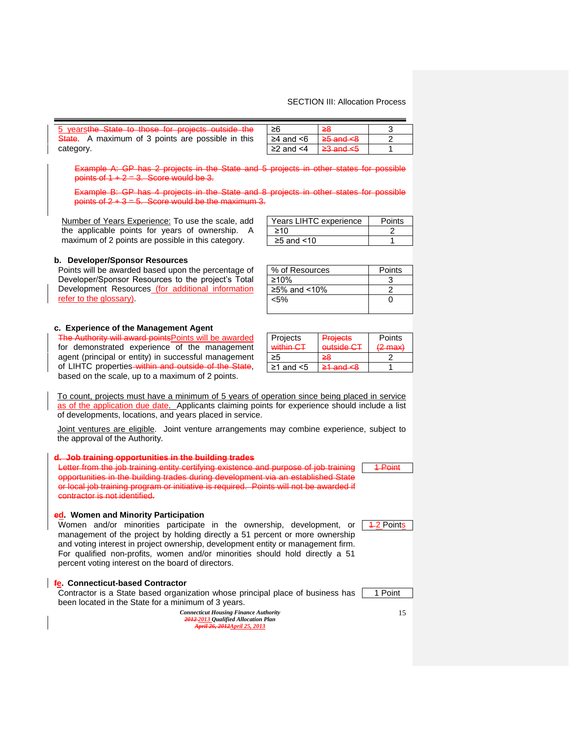| 5 yearsthe State to those for projects outside the | ≥6                    | 28                       |  |
|----------------------------------------------------|-----------------------|--------------------------|--|
| State. A maximum of 3 points are possible in this  | $\geq$ 4 and $\leq$ 6 | <del>≥5 and &lt;8</del>  |  |
| category.                                          | $\geq$ 2 and $\leq$ 4 | $\geq$ and $\leq$ $\leq$ |  |

Example A: GP has 2 projects in the State and 5 projects in other states for possible points of  $1 + 2 = 3$ . Score would be 3.

Example B: GP has 4 projects in the State and 8 projects in other states for possible points of  $2 + 3 = 5$ . Score would be the maximum 3.

Number of Years Experience: To use the scale, add the applicable points for years of ownership. A maximum of 2 points are possible in this category.

| Years LIHTC experience | Points |
|------------------------|--------|
| ≥10                    |        |
| $\geq$ 5 and <10       |        |
|                        |        |

% of Resources | Points  $≥10%$  3  $≥5%$  and <10% 2  $\leq$ 5% 0

#### **b. Developer/Sponsor Resources**

Points will be awarded based upon the percentage of Developer/Sponsor Resources to the project's Total Development Resources (for additional information refer to the glossary).

#### **c. Experience of the Management Agent**

The Authority will award points Points will be awarded for demonstrated experience of the management agent (principal or entity) in successful management of LIHTC properties-within and outside of the State, based on the scale, up to a maximum of 2 points.

| Projects  | <b>Projects</b>        | Points                                 |
|-----------|------------------------|----------------------------------------|
| within CT | outside C <sub>T</sub> | $(2 \text{ max})$<br><del>m maxi</del> |
|           | ≃                      |                                        |

 $\geq 1$  and <5  $\geq 1$  and <8 1

To count, projects must have a minimum of 5 years of operation since being placed in service as of the application due date. Applicants claiming points for experience should include a list of developments, locations, and years placed in service.

Joint ventures are eligible. Joint venture arrangements may combine experience, subject to the approval of the Authority.

## **d. Job training opportunities in the building trades**

Letter from the job training entity certifying existence and purpose of job training opportunities in the building trades during development via an established State or local job training program or initiative is required. Points will not be awarded if contractor is not identified.

#### **ed. Women and Minority Participation**

|  |                                                    |  |  | Women and/or minorities participate in the ownership, development, or            |  |  |
|--|----------------------------------------------------|--|--|----------------------------------------------------------------------------------|--|--|
|  |                                                    |  |  | management of the project by holding directly a 51 percent or more ownership     |  |  |
|  |                                                    |  |  | and voting interest in project ownership, development entity or management firm. |  |  |
|  |                                                    |  |  | For qualified non-profits, women and/or minorities should hold directly a 51     |  |  |
|  | percent voting interest on the board of directors. |  |  |                                                                                  |  |  |

#### **fe. Connecticut-based Contractor**

Contractor is a State based organization whose principal place of business has been located in the State for a minimum of 3 years.

| <b>Connecticut Housing Finance Authority</b> |
|----------------------------------------------|
| 2012-2013 Oualified Allocation Plan          |
| April 26, 2012April 25, 2013                 |

15

1 Point

1-Point

**1-2 Points**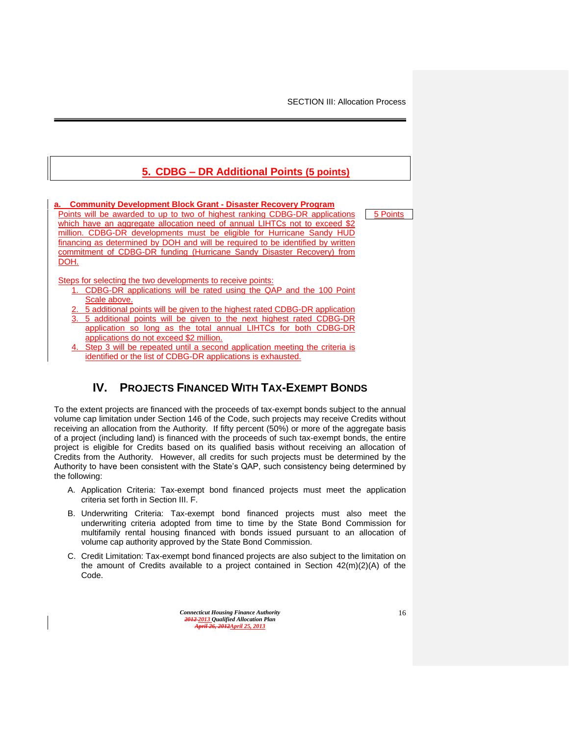5 Points

# **5. CDBG – DR Additional Points (5 points)**

## **a. Community Development Block Grant - Disaster Recovery Program**

Points will be awarded to up to two of highest ranking CDBG-DR applications which have an aggregate allocation need of annual LIHTCs not to exceed \$2 million. CDBG-DR developments must be eligible for Hurricane Sandy HUD financing as determined by DOH and will be required to be identified by written commitment of CDBG-DR funding (Hurricane Sandy Disaster Recovery) from DOH.

Steps for selecting the two developments to receive points:

- 1. CDBG-DR applications will be rated using the QAP and the 100 Point Scale above.
- 2. 5 additional points will be given to the highest rated CDBG-DR application
- 3. 5 additional points will be given to the next highest rated CDBG-DR application so long as the total annual LIHTCs for both CDBG-DR applications do not exceed \$2 million.
- Step 3 will be repeated until a second application meeting the criteria is identified or the list of CDBG-DR applications is exhausted.

# **IV. PROJECTS FINANCED WITH TAX-EXEMPT BONDS**

<span id="page-16-0"></span>To the extent projects are financed with the proceeds of tax-exempt bonds subject to the annual volume cap limitation under Section 146 of the Code, such projects may receive Credits without receiving an allocation from the Authority. If fifty percent (50%) or more of the aggregate basis of a project (including land) is financed with the proceeds of such tax-exempt bonds, the entire project is eligible for Credits based on its qualified basis without receiving an allocation of Credits from the Authority. However, all credits for such projects must be determined by the Authority to have been consistent with the State's QAP, such consistency being determined by the following:

- A. Application Criteria: Tax-exempt bond financed projects must meet the application criteria set forth in Section III. F.
- B. Underwriting Criteria: Tax-exempt bond financed projects must also meet the underwriting criteria adopted from time to time by the State Bond Commission for multifamily rental housing financed with bonds issued pursuant to an allocation of volume cap authority approved by the State Bond Commission.
- C. Credit Limitation: Tax-exempt bond financed projects are also subject to the limitation on the amount of Credits available to a project contained in Section  $42(m)(2)(A)$  of the Code.

*Connecticut Housing Finance Authority 2012 2013 Qualified Allocation Plan April 26, 2012April 25, 2013*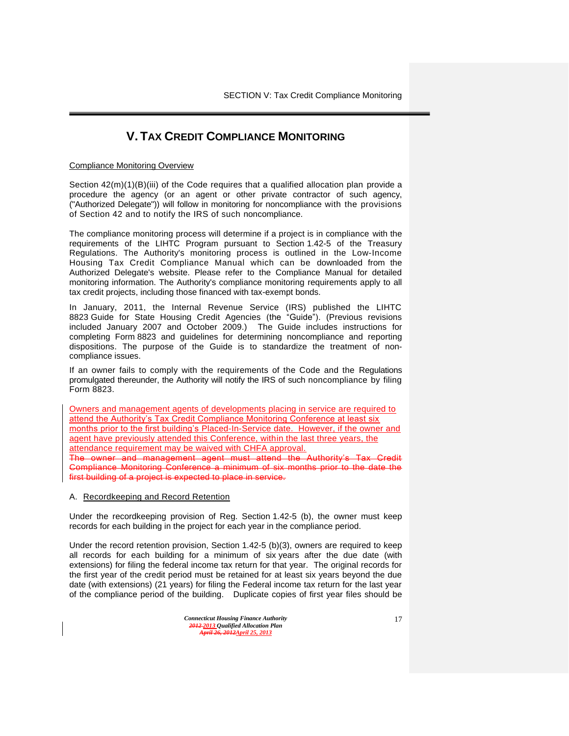# **V. TAX CREDIT COMPLIANCE MONITORING**

#### <span id="page-17-0"></span>Compliance Monitoring Overview

Section  $42(m)(1)(B)(iii)$  of the Code requires that a qualified allocation plan provide a procedure the agency (or an agent or other private contractor of such agency, ("Authorized Delegate")) will follow in monitoring for noncompliance with the provisions of Section 42 and to notify the IRS of such noncompliance.

The compliance monitoring process will determine if a project is in compliance with the requirements of the LIHTC Program pursuant to Section 1.42-5 of the Treasury Regulations. The Authority's monitoring process is outlined in the Low-Income Housing Tax Credit Compliance Manual which can be downloaded from the Authorized Delegate's website. Please refer to the Compliance Manual for detailed monitoring information. The Authority's compliance monitoring requirements apply to all tax credit projects, including those financed with tax-exempt bonds.

In January, 2011, the Internal Revenue Service (IRS) published the LIHTC 8823 Guide for State Housing Credit Agencies (the "Guide"). (Previous revisions included January 2007 and October 2009.) The Guide includes instructions for completing Form 8823 and guidelines for determining noncompliance and reporting dispositions. The purpose of the Guide is to standardize the treatment of noncompliance issues.

If an owner fails to comply with the requirements of the Code and the Regulations promulgated thereunder, the Authority will notify the IRS of such noncompliance by filing Form 8823.

Owners and management agents of developments placing in service are required to attend the Authority's Tax Credit Compliance Monitoring Conference at least six months prior to the first building's Placed-In-Service date. However, if the owner and agent have previously attended this Conference, within the last three years, the attendance requirement may be waived with CHFA approval.

The owner and management agent must attend the Authority's Tax Credit Compliance Monitoring Conference a minimum of six months prior to the date the first building of a project is expected to place in service.

#### A. Recordkeeping and Record Retention

Under the recordkeeping provision of Reg. Section 1.42-5 (b), the owner must keep records for each building in the project for each year in the compliance period.

Under the record retention provision, Section 1.42-5 (b)(3), owners are required to keep all records for each building for a minimum of six years after the due date (with extensions) for filing the federal income tax return for that year. The original records for the first year of the credit period must be retained for at least six years beyond the due date (with extensions) (21 years) for filing the Federal income tax return for the last year of the compliance period of the building. Duplicate copies of first year files should be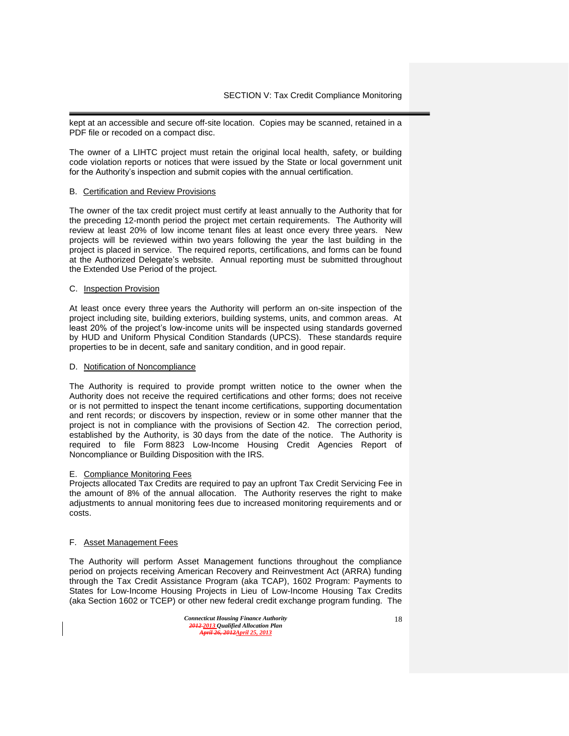kept at an accessible and secure off-site location. Copies may be scanned, retained in a PDF file or recoded on a compact disc.

The owner of a LIHTC project must retain the original local health, safety, or building code violation reports or notices that were issued by the State or local government unit for the Authority's inspection and submit copies with the annual certification.

#### B. Certification and Review Provisions

The owner of the tax credit project must certify at least annually to the Authority that for the preceding 12-month period the project met certain requirements. The Authority will review at least 20% of low income tenant files at least once every three years. New projects will be reviewed within two years following the year the last building in the project is placed in service. The required reports, certifications, and forms can be found at the Authorized Delegate's website. Annual reporting must be submitted throughout the Extended Use Period of the project.

#### C. Inspection Provision

At least once every three years the Authority will perform an on-site inspection of the project including site, building exteriors, building systems, units, and common areas. At least 20% of the project's low-income units will be inspected using standards governed by HUD and Uniform Physical Condition Standards (UPCS). These standards require properties to be in decent, safe and sanitary condition, and in good repair.

#### D. Notification of Noncompliance

The Authority is required to provide prompt written notice to the owner when the Authority does not receive the required certifications and other forms; does not receive or is not permitted to inspect the tenant income certifications, supporting documentation and rent records; or discovers by inspection, review or in some other manner that the project is not in compliance with the provisions of Section 42. The correction period, established by the Authority, is 30 days from the date of the notice. The Authority is required to file Form 8823 Low-Income Housing Credit Agencies Report of Noncompliance or Building Disposition with the IRS.

#### E. Compliance Monitoring Fees

Projects allocated Tax Credits are required to pay an upfront Tax Credit Servicing Fee in the amount of 8% of the annual allocation. The Authority reserves the right to make adjustments to annual monitoring fees due to increased monitoring requirements and or costs.

#### F. Asset Management Fees

The Authority will perform Asset Management functions throughout the compliance period on projects receiving American Recovery and Reinvestment Act (ARRA) funding through the Tax Credit Assistance Program (aka TCAP), 1602 Program: Payments to States for Low-Income Housing Projects in Lieu of Low-Income Housing Tax Credits (aka Section 1602 or TCEP) or other new federal credit exchange program funding. The